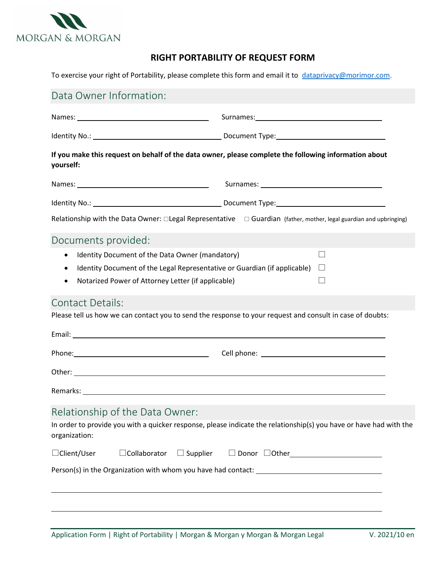

## **RIGHT PORTABILITY OF REQUEST FORM**

To exercise your right of Portability, please complete this form and email it to [dataprivacy@morimor.com.](mailto:dataprivacy@morimor.com)

| Data Owner Information:                                                                                                                                                                                                                                   |                                                                                                                    |  |  |  |
|-----------------------------------------------------------------------------------------------------------------------------------------------------------------------------------------------------------------------------------------------------------|--------------------------------------------------------------------------------------------------------------------|--|--|--|
|                                                                                                                                                                                                                                                           |                                                                                                                    |  |  |  |
|                                                                                                                                                                                                                                                           |                                                                                                                    |  |  |  |
| If you make this request on behalf of the data owner, please complete the following information about<br>yourself:                                                                                                                                        |                                                                                                                    |  |  |  |
|                                                                                                                                                                                                                                                           |                                                                                                                    |  |  |  |
|                                                                                                                                                                                                                                                           |                                                                                                                    |  |  |  |
|                                                                                                                                                                                                                                                           | Relationship with the Data Owner: □Legal Representative □ Guardian (father, mother, legal guardian and upbringing) |  |  |  |
| Documents provided:                                                                                                                                                                                                                                       |                                                                                                                    |  |  |  |
| Identity Document of the Data Owner (mandatory)<br>П<br>$\bullet$<br>Identity Document of the Legal Representative or Guardian (if applicable)<br>$\perp$<br>$\bullet$<br>Notarized Power of Attorney Letter (if applicable)<br>$\mathsf{L}$<br>$\bullet$ |                                                                                                                    |  |  |  |
| <b>Contact Details:</b>                                                                                                                                                                                                                                   |                                                                                                                    |  |  |  |
| Please tell us how we can contact you to send the response to your request and consult in case of doubts:                                                                                                                                                 |                                                                                                                    |  |  |  |
|                                                                                                                                                                                                                                                           |                                                                                                                    |  |  |  |
|                                                                                                                                                                                                                                                           |                                                                                                                    |  |  |  |
|                                                                                                                                                                                                                                                           |                                                                                                                    |  |  |  |
| Remarks: <u>example and a series of the series of the series of the series of the series of the series of the series of the series of the series of the series of the series of the series of the series of the series of the se</u>                      |                                                                                                                    |  |  |  |
| Relationship of the Data Owner:                                                                                                                                                                                                                           |                                                                                                                    |  |  |  |
| organization:                                                                                                                                                                                                                                             | In order to provide you with a quicker response, please indicate the relationship(s) you have or have had with the |  |  |  |
| □Client/User<br>$\Box$ Supplier<br>$\Box$ Collaborator                                                                                                                                                                                                    |                                                                                                                    |  |  |  |
|                                                                                                                                                                                                                                                           |                                                                                                                    |  |  |  |
|                                                                                                                                                                                                                                                           |                                                                                                                    |  |  |  |